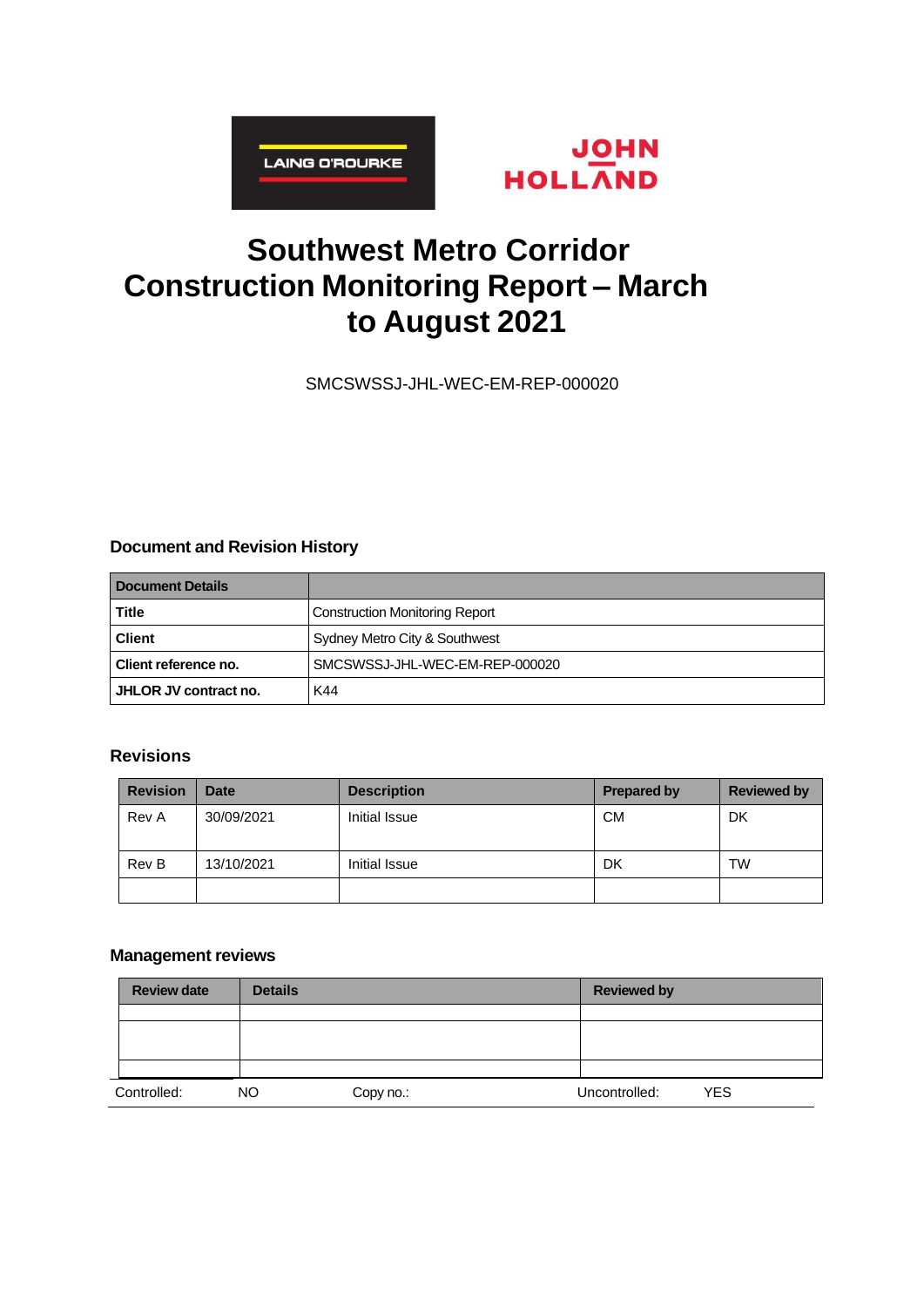



# **Southwest Metro Corridor Construction Monitoring Report – March to August 2021**

SMCSWSSJ-JHL-WEC-EM-REP-000020

### **Document and Revision History**

| <b>Document Details</b> |                                       |
|-------------------------|---------------------------------------|
| <b>Title</b>            | <b>Construction Monitoring Report</b> |
| <b>Client</b>           | Sydney Metro City & Southwest         |
| Client reference no.    | SMCSWSSJ-JHL-WEC-EM-REP-000020        |
| ∣ JHLOR JV contract no. | K44                                   |

### **Revisions**

| <b>Revision</b> | <b>Date</b> | <b>Description</b> | <b>Prepared by</b> | <b>Reviewed by</b> |
|-----------------|-------------|--------------------|--------------------|--------------------|
| Rev A           | 30/09/2021  | Initial Issue      | <b>CM</b>          | DK                 |
| Rev B           | 13/10/2021  | Initial Issue      | DK                 | TW                 |
|                 |             |                    |                    |                    |

### **Management reviews**

| <b>Review date</b> | <b>Details</b> |           | <b>Reviewed by</b> |            |
|--------------------|----------------|-----------|--------------------|------------|
|                    |                |           |                    |            |
|                    |                |           |                    |            |
|                    |                |           |                    |            |
|                    |                |           |                    |            |
| Controlled:        | <b>NO</b>      | Copy no.: | Uncontrolled:      | <b>YES</b> |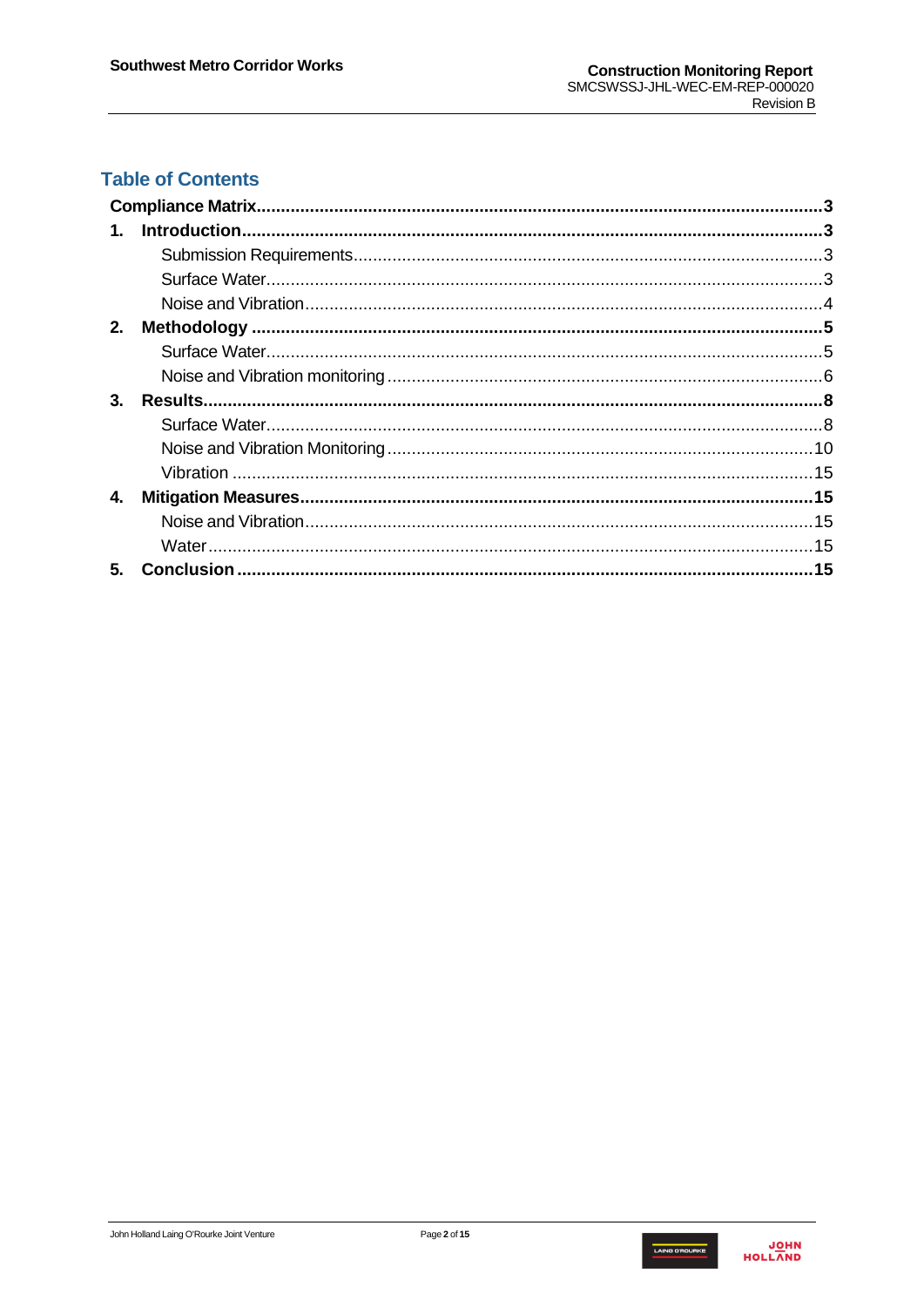# **Table of Contents**

| $1_{-}$        |  |
|----------------|--|
|                |  |
|                |  |
|                |  |
| 2.             |  |
|                |  |
|                |  |
| $3_{-}$        |  |
|                |  |
|                |  |
|                |  |
| 4.             |  |
|                |  |
|                |  |
| 5 <sub>1</sub> |  |

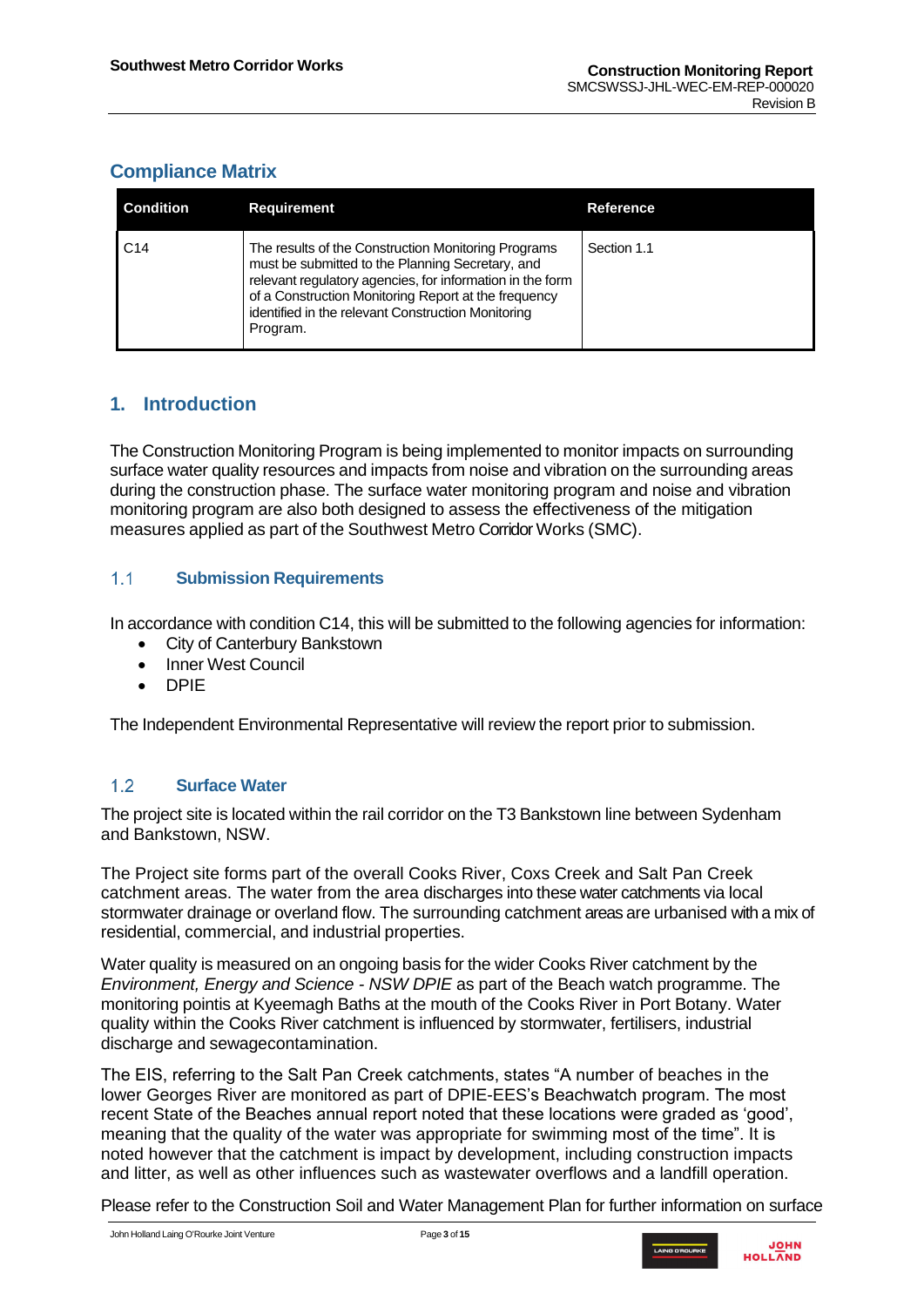# <span id="page-2-0"></span>**Compliance Matrix**

| <b>Condition</b> | <b>Requirement</b>                                                                                                                                                                                                                                                                             | Reference.  |
|------------------|------------------------------------------------------------------------------------------------------------------------------------------------------------------------------------------------------------------------------------------------------------------------------------------------|-------------|
| C <sub>14</sub>  | The results of the Construction Monitoring Programs<br>must be submitted to the Planning Secretary, and<br>relevant regulatory agencies, for information in the form<br>of a Construction Monitoring Report at the frequency<br>identified in the relevant Construction Monitoring<br>Program. | Section 1.1 |

# <span id="page-2-1"></span>**1. Introduction**

The Construction Monitoring Program is being implemented to monitor impacts on surrounding surface water quality resources and impacts from noise and vibration on the surrounding areas during the construction phase. The surface water monitoring program and noise and vibration monitoring program are also both designed to assess the effectiveness of the mitigation measures applied as part of the Southwest Metro Corridor Works (SMC).

#### <span id="page-2-2"></span> $1.1<sub>2</sub>$ **Submission Requirements**

In accordance with condition C14, this will be submitted to the following agencies for information:

- City of Canterbury Bankstown
- Inner West Council
- DPIE

The Independent Environmental Representative will review the report prior to submission.

#### <span id="page-2-3"></span> $1.2$ **Surface Water**

The project site is located within the rail corridor on the T3 Bankstown line between Sydenham and Bankstown, NSW.

The Project site forms part of the overall Cooks River, Coxs Creek and Salt Pan Creek catchment areas. The water from the area discharges into these water catchments via local stormwater drainage or overland flow. The surrounding catchment areas are urbanised with a mix of residential, commercial, and industrial properties.

Water quality is measured on an ongoing basis for the wider Cooks River catchment by the *Environment, Energy and Science - NSW DPIE* as part of the Beach watch programme. The monitoring pointis at Kyeemagh Baths at the mouth of the Cooks River in Port Botany. Water quality within the Cooks River catchment is influenced by stormwater, fertilisers, industrial discharge and sewagecontamination.

The EIS, referring to the Salt Pan Creek catchments, states "A number of beaches in the lower Georges River are monitored as part of DPIE-EES's Beachwatch program. The most recent State of the Beaches annual report noted that these locations were graded as 'good', meaning that the quality of the water was appropriate for swimming most of the time". It is noted however that the catchment is impact by development, including construction impacts and litter, as well as other influences such as wastewater overflows and a landfill operation.

Please refer to the Construction Soil and Water Management Plan for further information on surface



**JOHN**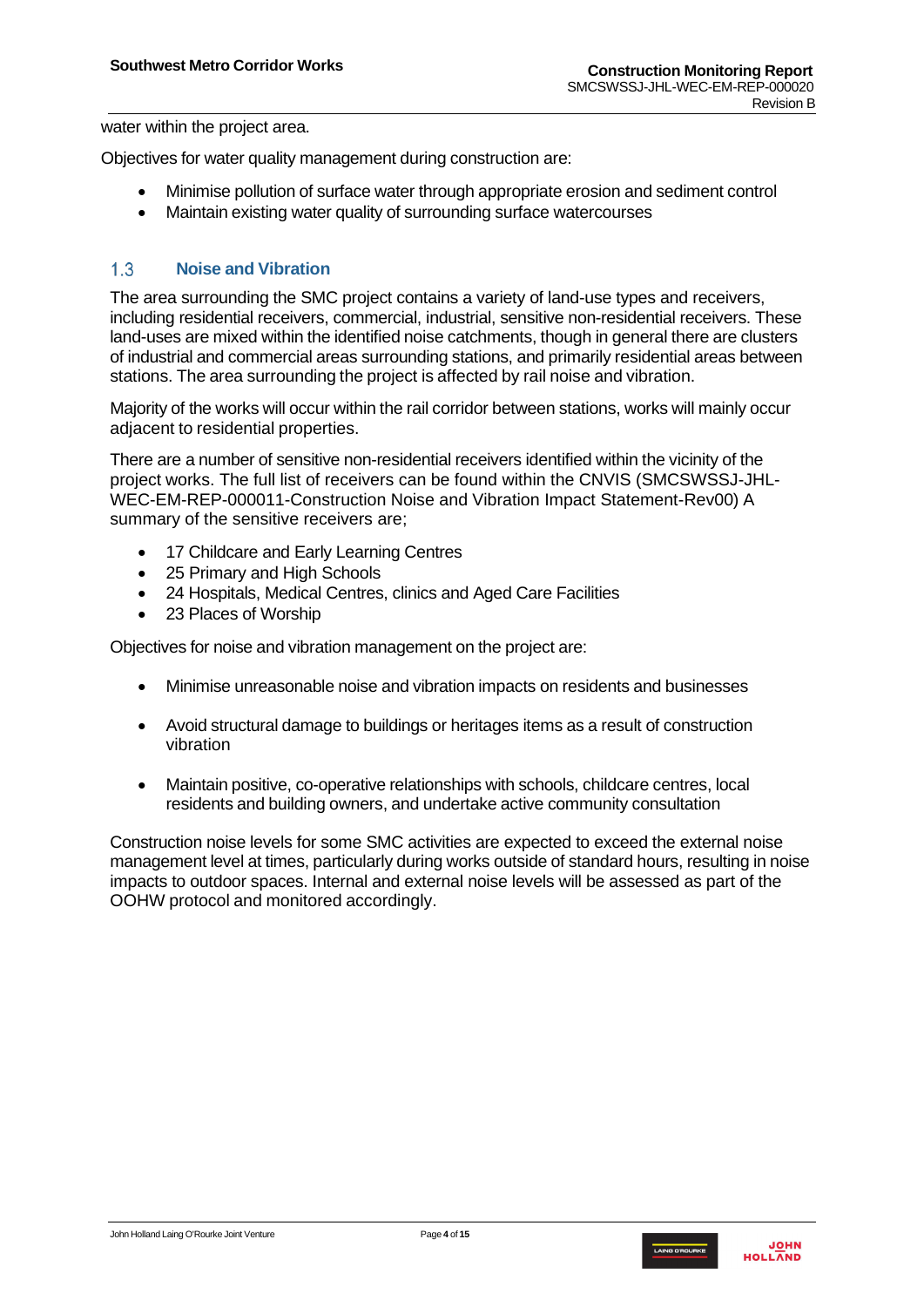water within the project area.

Objectives for water quality management during construction are:

- Minimise pollution of surface water through appropriate erosion and sediment control
- Maintain existing water quality of surrounding surface watercourses

#### <span id="page-3-0"></span> $13$ **Noise and Vibration**

The area surrounding the SMC project contains a variety of land-use types and receivers, including residential receivers, commercial, industrial, sensitive non-residential receivers. These land-uses are mixed within the identified noise catchments, though in general there are clusters of industrial and commercial areas surrounding stations, and primarily residential areas between stations. The area surrounding the project is affected by rail noise and vibration.

Majority of the works will occur within the rail corridor between stations, works will mainly occur adjacent to residential properties.

There are a number of sensitive non-residential receivers identified within the vicinity of the project works. The full list of receivers can be found within the CNVIS (SMCSWSSJ-JHL-WEC-EM-REP-000011-Construction Noise and Vibration Impact Statement-Rev00) A summary of the sensitive receivers are;

- 17 Childcare and Early Learning Centres
- 25 Primary and High Schools
- 24 Hospitals, Medical Centres, clinics and Aged Care Facilities
- 23 Places of Worship

Objectives for noise and vibration management on the project are:

- Minimise unreasonable noise and vibration impacts on residents and businesses
- Avoid structural damage to buildings or heritages items as a result of construction vibration
- Maintain positive, co-operative relationships with schools, childcare centres, local residents and building owners, and undertake active community consultation

Construction noise levels for some SMC activities are expected to exceed the external noise management level at times, particularly during works outside of standard hours, resulting in noise impacts to outdoor spaces. Internal and external noise levels will be assessed as part of the OOHW protocol and monitored accordingly.

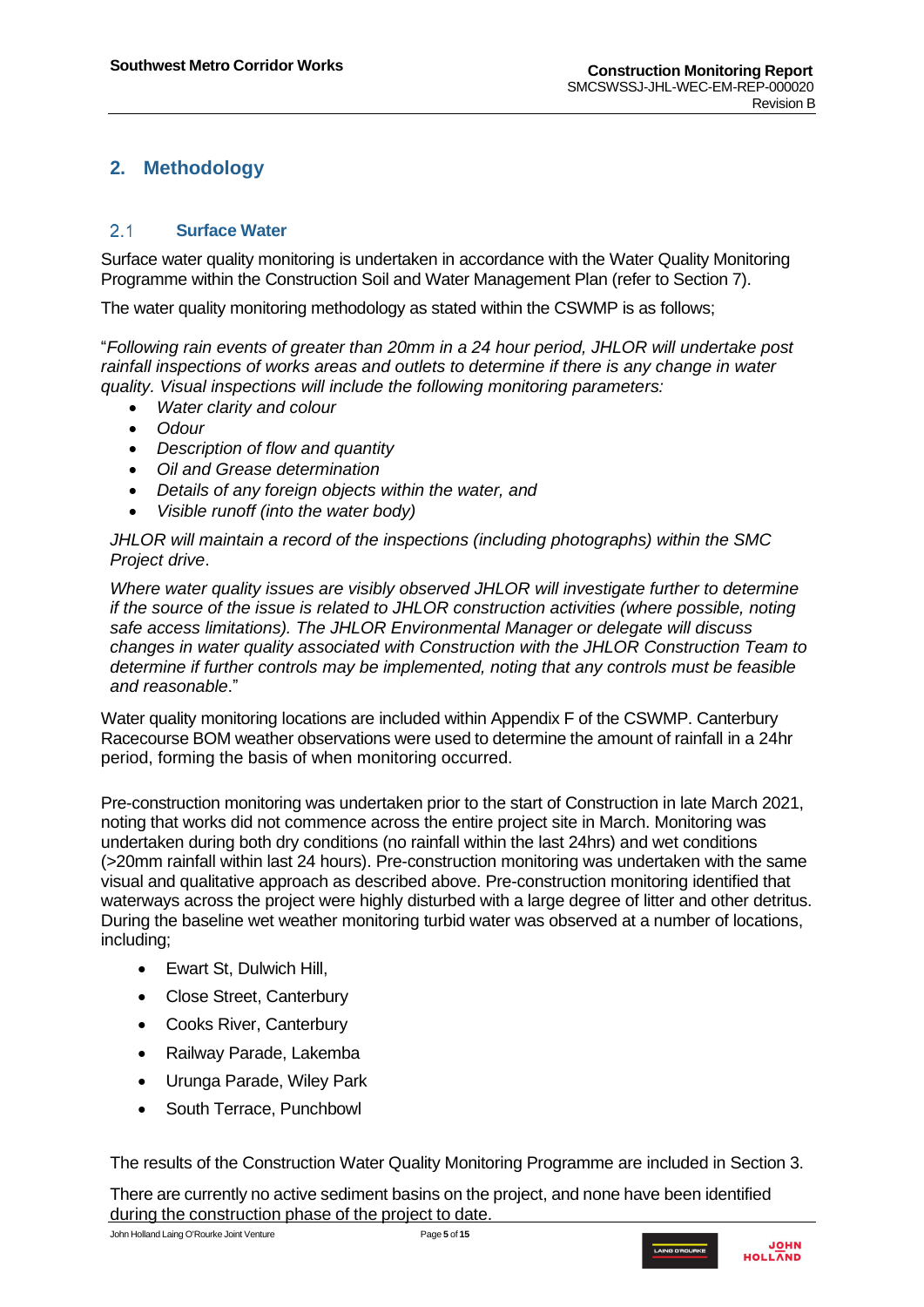# <span id="page-4-0"></span>**2. Methodology**

#### <span id="page-4-1"></span> $2.1$ **Surface Water**

Surface water quality monitoring is undertaken in accordance with the Water Quality Monitoring Programme within the Construction Soil and Water Management Plan (refer to Section 7).

The water quality monitoring methodology as stated within the CSWMP is as follows;

"*Following rain events of greater than 20mm in a 24 hour period, JHLOR will undertake post rainfall inspections of works areas and outlets to determine if there is any change in water quality. Visual inspections will include the following monitoring parameters:* 

- *Water clarity and colour*
- *Odour*
- *Description of flow and quantity*
- *Oil and Grease determination*
- *Details of any foreign objects within the water, and*
- *Visible runoff (into the water body)*

*JHLOR will maintain a record of the inspections (including photographs) within the SMC Project drive*.

*Where water quality issues are visibly observed JHLOR will investigate further to determine if the source of the issue is related to JHLOR construction activities (where possible, noting safe access limitations). The JHLOR Environmental Manager or delegate will discuss changes in water quality associated with Construction with the JHLOR Construction Team to determine if further controls may be implemented, noting that any controls must be feasible and reasonable*."

Water quality monitoring locations are included within Appendix F of the CSWMP. Canterbury Racecourse BOM weather observations were used to determine the amount of rainfall in a 24hr period, forming the basis of when monitoring occurred.

Pre-construction monitoring was undertaken prior to the start of Construction in late March 2021, noting that works did not commence across the entire project site in March. Monitoring was undertaken during both dry conditions (no rainfall within the last 24hrs) and wet conditions (>20mm rainfall within last 24 hours). Pre-construction monitoring was undertaken with the same visual and qualitative approach as described above. Pre-construction monitoring identified that waterways across the project were highly disturbed with a large degree of litter and other detritus. During the baseline wet weather monitoring turbid water was observed at a number of locations, including;

- Ewart St, Dulwich Hill,
- Close Street, Canterbury
- Cooks River, Canterbury
- Railway Parade, Lakemba
- Urunga Parade, Wiley Park
- South Terrace, Punchbowl

The results of the Construction Water Quality Monitoring Programme are included in Section 3.

There are currently no active sediment basins on the project, and none have been identified during the construction phase of the project to date.

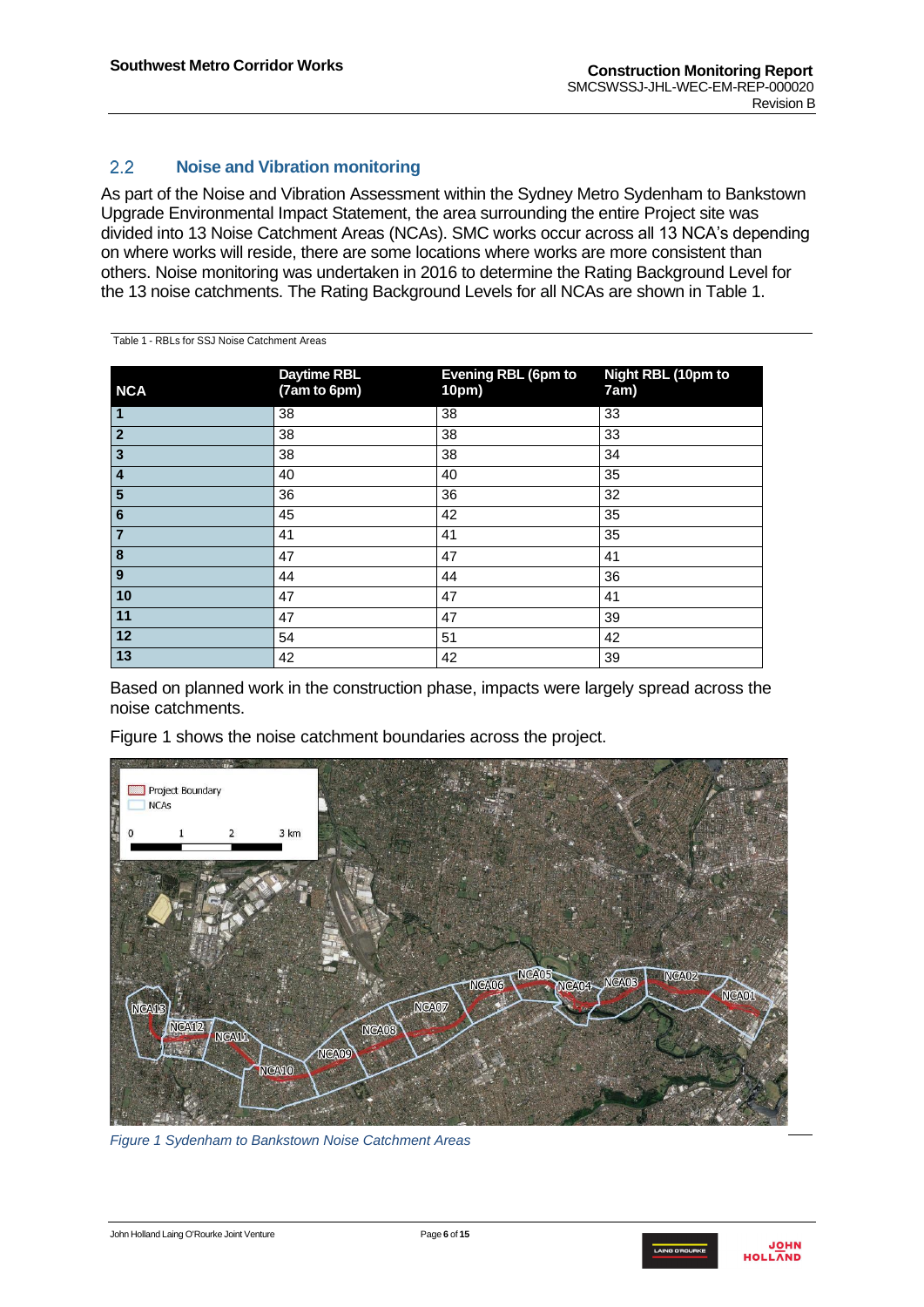<span id="page-5-1"></span>Table 1 - RBLs for SSJ Noise Catchment Areas

### <span id="page-5-0"></span> $2.2^{\circ}$ **Noise and Vibration monitoring**

As part of the Noise and Vibration Assessment within the Sydney Metro Sydenham to Bankstown Upgrade Environmental Impact Statement, the area surrounding the entire Project site was divided into 13 Noise Catchment Areas (NCAs). SMC works occur across all 13 NCA's depending on where works will reside, there are some locations where works are more consistent than others. Noise monitoring was undertaken in 2016 to determine the Rating Background Level for the 13 noise catchments. The Rating Background Levels for all NCAs are shown in Table [1.](#page-5-1)

| <b>NCA</b>              | <b>Daytime RBL</b><br>(7am to 6pm) | <b>Evening RBL (6pm to</b><br>10pm) | Night RBL (10pm to<br>7am) |
|-------------------------|------------------------------------|-------------------------------------|----------------------------|
| $\overline{\mathsf{1}}$ | 38                                 | 38                                  | 33                         |
| $\overline{\mathbf{2}}$ | 38                                 | 38                                  | 33                         |
| $\overline{\mathbf{3}}$ | 38                                 | 38                                  | 34                         |
| $\overline{4}$          | 40                                 | 40                                  | 35                         |
| $\overline{\mathbf{5}}$ | 36                                 | 36                                  | 32                         |
| $\overline{6}$          | 45                                 | 42                                  | 35                         |
| $\overline{\mathbf{7}}$ | 41                                 | 41                                  | 35                         |
| $\overline{\mathbf{8}}$ | 47                                 | 47                                  | 41                         |
| $\overline{9}$          | 44                                 | 44                                  | 36                         |
| 10                      | 47                                 | 47                                  | 41                         |
| 11                      | 47                                 | 47                                  | 39                         |
| 12                      | 54                                 | 51                                  | 42                         |
| $\boxed{13}$            | 42                                 | 42                                  | 39                         |

Based on planned work in the construction phase, impacts were largely spread across the noise catchments.

Figure 1 shows the noise catchment boundaries across the project.



*Figure 1 Sydenham to Bankstown Noise Catchment Areas*

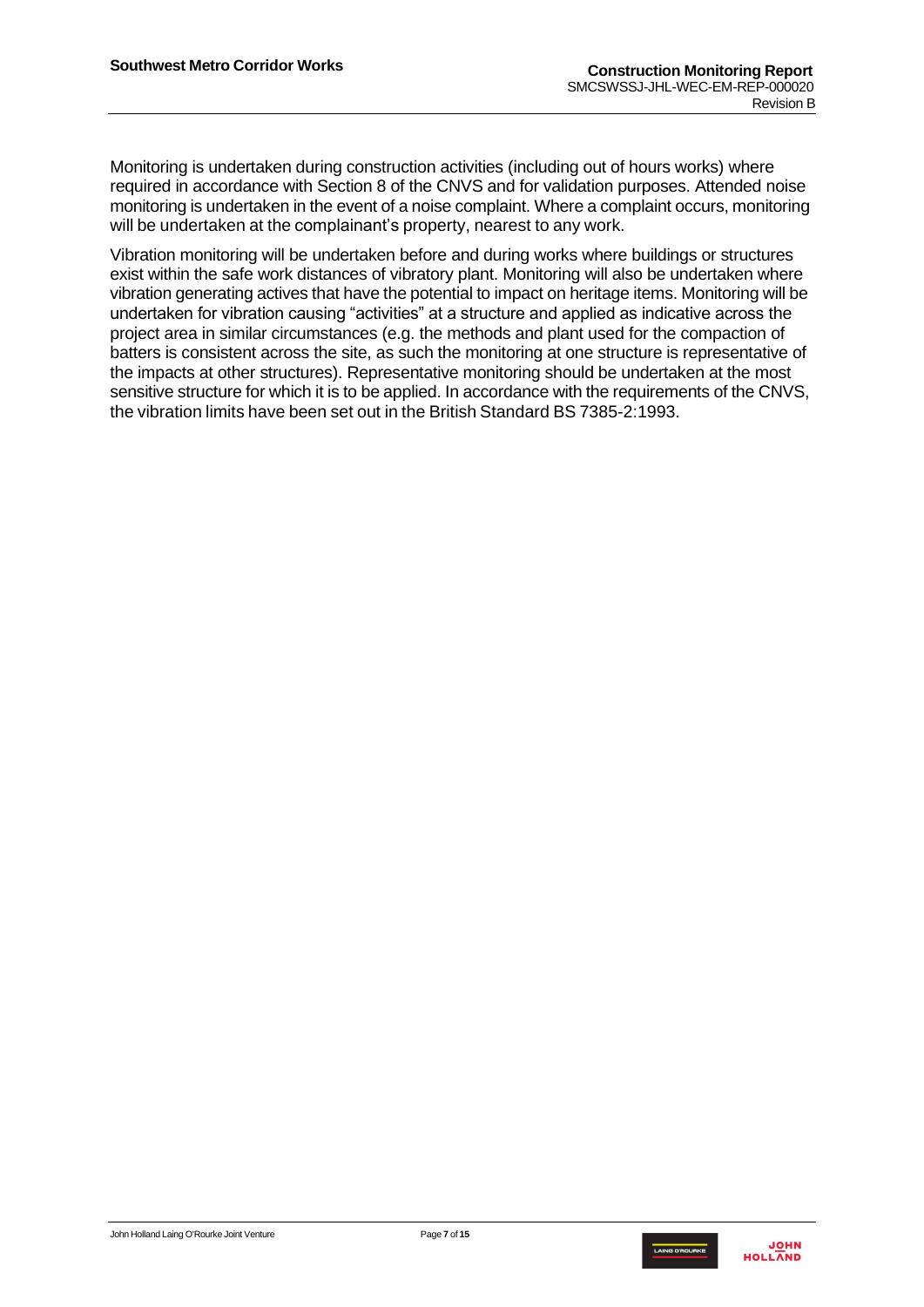Monitoring is undertaken during construction activities (including out of hours works) where required in accordance with Section 8 of the CNVS and for validation purposes. Attended noise monitoring is undertaken in the event of a noise complaint. Where a complaint occurs, monitoring will be undertaken at the complainant's property, nearest to any work.

Vibration monitoring will be undertaken before and during works where buildings or structures exist within the safe work distances of vibratory plant. Monitoring will also be undertaken where vibration generating actives that have the potential to impact on heritage items. Monitoring will be undertaken for vibration causing "activities" at a structure and applied as indicative across the project area in similar circumstances (e.g. the methods and plant used for the compaction of batters is consistent across the site, as such the monitoring at one structure is representative of the impacts at other structures). Representative monitoring should be undertaken at the most sensitive structure for which it is to be applied. In accordance with the requirements of the CNVS, the vibration limits have been set out in the British Standard BS 7385-2:1993.

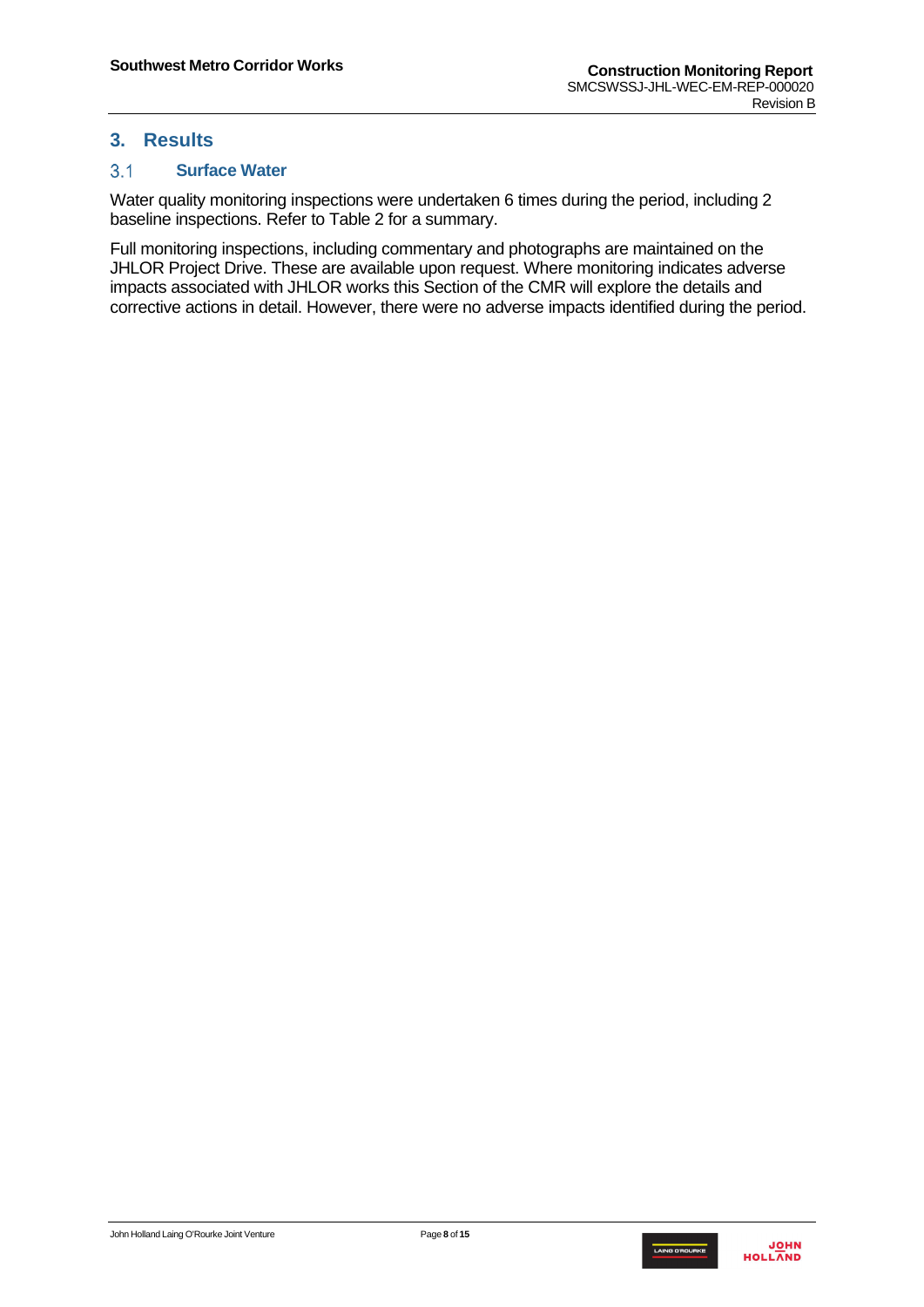# <span id="page-7-0"></span>**3. Results**

#### <span id="page-7-1"></span> $3.1$ **Surface Water**

Water quality monitoring inspections were undertaken 6 times during the period, including 2 baseline inspections. Refer to Table 2 for a summary.

Full monitoring inspections, including commentary and photographs are maintained on the JHLOR Project Drive. These are available upon request. Where monitoring indicates adverse impacts associated with JHLOR works this Section of the CMR will explore the details and corrective actions in detail. However, there were no adverse impacts identified during the period.

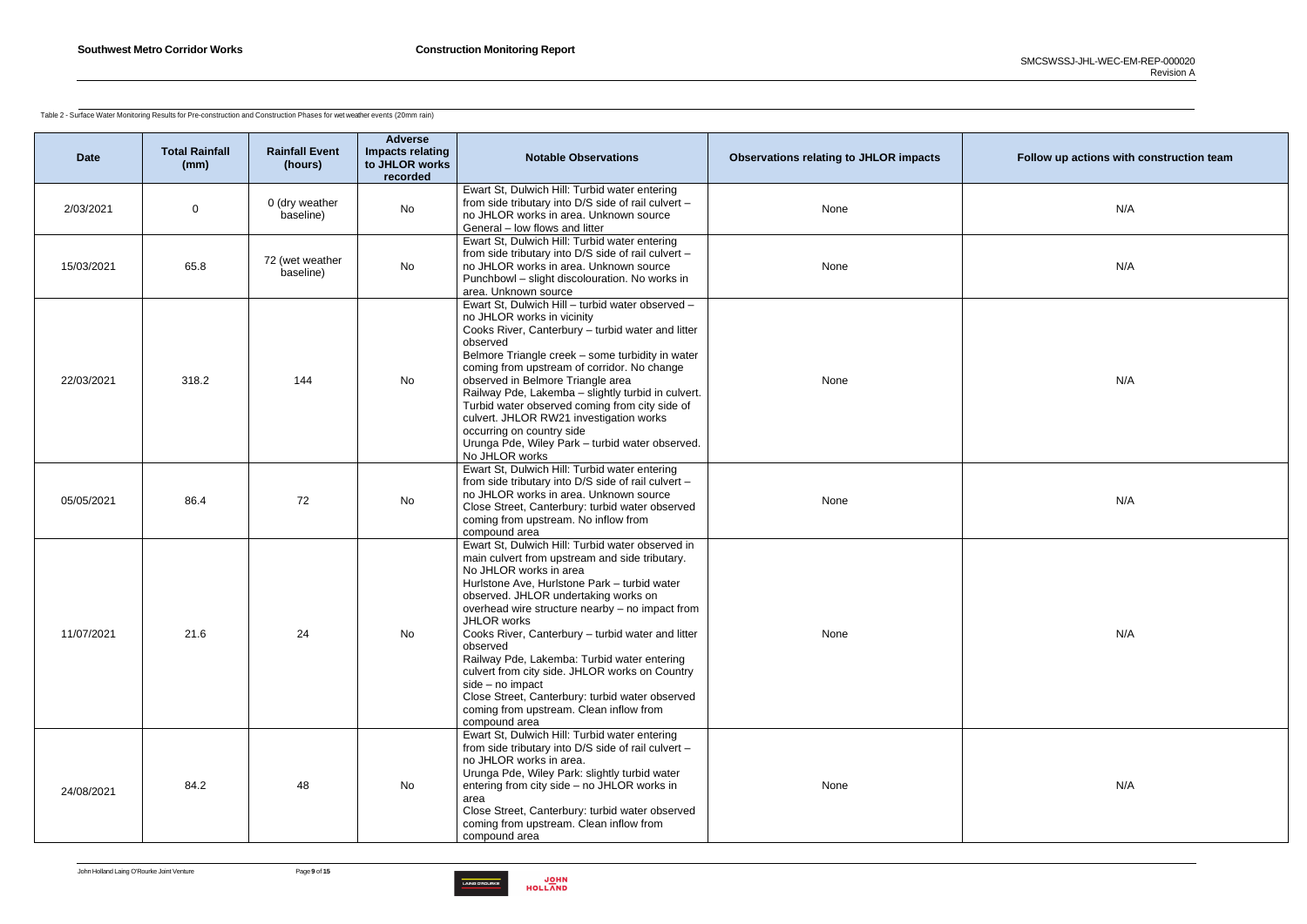

Table 2 - Surface Water Monitoring Results for Pre-construction and Construction Phases for wet weather events (20mm rain)

| <b>Date</b> | <b>Total Rainfall</b><br>(mm) | <b>Rainfall Event</b><br>(hours) | <b>Adverse</b><br>Impacts relating<br>to JHLOR works<br>recorded | <b>Notable Observations</b>                                                                                                                                                                                                                                                                                                                                                                                                                                                                                                                                                                 | <b>Observations relating to JHLOR impacts</b> | Follow up actions with construction team |
|-------------|-------------------------------|----------------------------------|------------------------------------------------------------------|---------------------------------------------------------------------------------------------------------------------------------------------------------------------------------------------------------------------------------------------------------------------------------------------------------------------------------------------------------------------------------------------------------------------------------------------------------------------------------------------------------------------------------------------------------------------------------------------|-----------------------------------------------|------------------------------------------|
| 2/03/2021   | $\overline{0}$                | 0 (dry weather<br>baseline)      | No                                                               | Ewart St, Dulwich Hill: Turbid water entering<br>from side tributary into D/S side of rail culvert -<br>no JHLOR works in area. Unknown source<br>General - low flows and litter                                                                                                                                                                                                                                                                                                                                                                                                            | None                                          | N/A                                      |
| 15/03/2021  | 65.8                          | 72 (wet weather<br>baseline)     | No                                                               | Ewart St, Dulwich Hill: Turbid water entering<br>from side tributary into D/S side of rail culvert -<br>no JHLOR works in area. Unknown source<br>Punchbowl - slight discolouration. No works in<br>area. Unknown source                                                                                                                                                                                                                                                                                                                                                                    | None                                          |                                          |
| 22/03/2021  | 318.2                         | 144                              | No                                                               | Ewart St, Dulwich Hill - turbid water observed -<br>no JHLOR works in vicinity<br>Cooks River, Canterbury - turbid water and litter<br>observed<br>Belmore Triangle creek - some turbidity in water<br>coming from upstream of corridor. No change<br>observed in Belmore Triangle area<br>Railway Pde, Lakemba - slightly turbid in culvert.<br>Turbid water observed coming from city side of<br>culvert. JHLOR RW21 investigation works<br>occurring on country side<br>Urunga Pde, Wiley Park - turbid water observed.<br>No JHLOR works                                                | None                                          | N/A                                      |
| 05/05/2021  | 86.4                          | 72                               | No                                                               | Ewart St, Dulwich Hill: Turbid water entering<br>from side tributary into D/S side of rail culvert -<br>no JHLOR works in area. Unknown source<br>Close Street, Canterbury: turbid water observed<br>coming from upstream. No inflow from<br>compound area                                                                                                                                                                                                                                                                                                                                  | None                                          | N/A                                      |
| 11/07/2021  | 21.6                          | 24                               | No                                                               | Ewart St, Dulwich Hill: Turbid water observed in<br>main culvert from upstream and side tributary.<br>No JHLOR works in area<br>Hurlstone Ave, Hurlstone Park - turbid water<br>observed. JHLOR undertaking works on<br>overhead wire structure nearby - no impact from<br>JHLOR works<br>Cooks River, Canterbury - turbid water and litter<br>observed<br>Railway Pde, Lakemba: Turbid water entering<br>culvert from city side. JHLOR works on Country<br>side - no impact<br>Close Street, Canterbury: turbid water observed<br>coming from upstream. Clean inflow from<br>compound area | None                                          | N/A                                      |
| 24/08/2021  | 84.2                          | 48                               | No                                                               | Ewart St, Dulwich Hill: Turbid water entering<br>from side tributary into D/S side of rail culvert -<br>no JHLOR works in area.<br>Urunga Pde, Wiley Park: slightly turbid water<br>entering from city side - no JHLOR works in<br>area<br>Close Street, Canterbury: turbid water observed<br>coming from upstream. Clean inflow from<br>compound area                                                                                                                                                                                                                                      | None                                          | N/A                                      |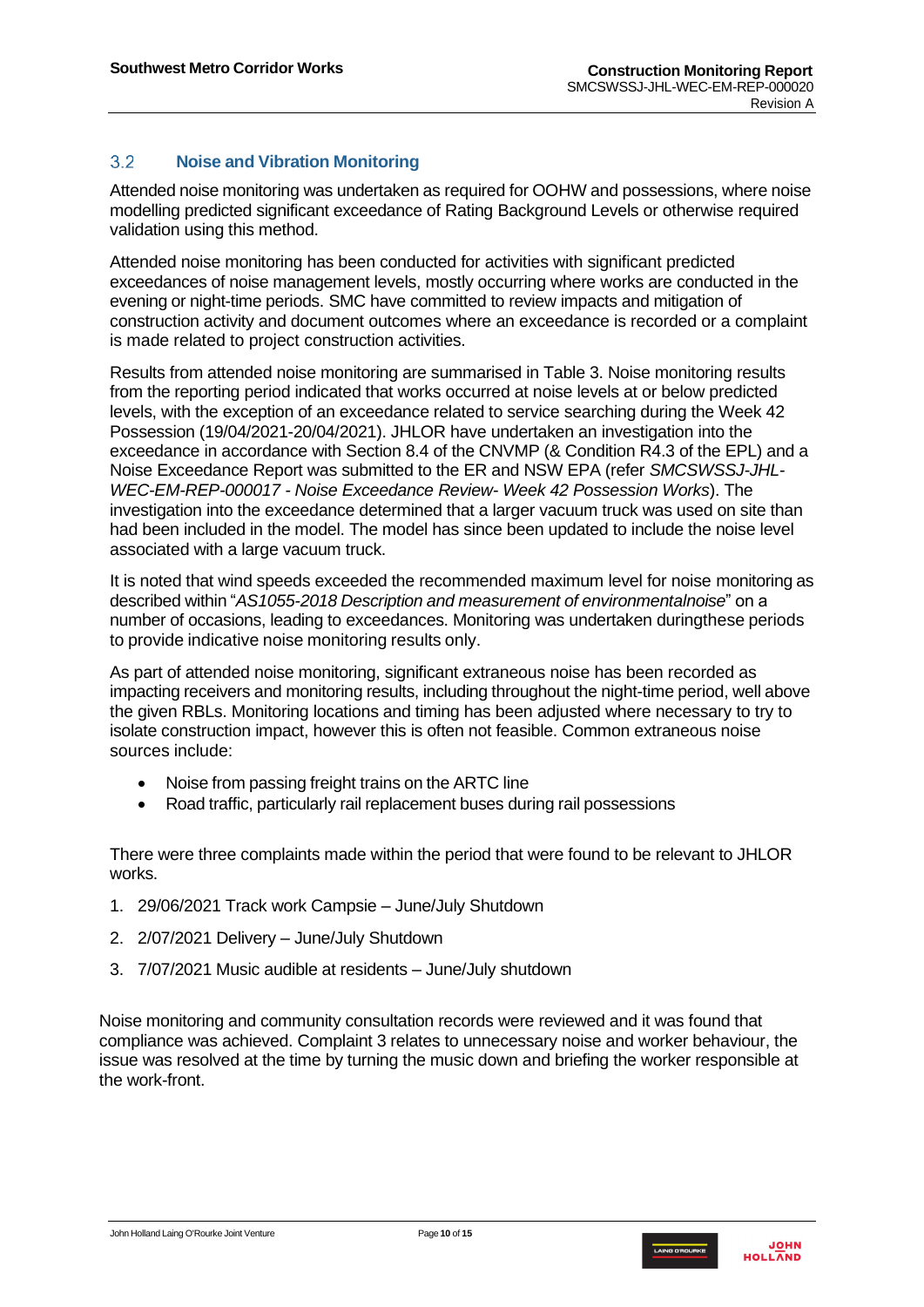#### <span id="page-9-0"></span> $3.2$ **Noise and Vibration Monitoring**

Attended noise monitoring was undertaken as required for OOHW and possessions, where noise modelling predicted significant exceedance of Rating Background Levels or otherwise required validation using this method.

Attended noise monitoring has been conducted for activities with significant predicted exceedances of noise management levels, mostly occurring where works are conducted in the evening or night-time periods. SMC have committed to review impacts and mitigation of construction activity and document outcomes where an exceedance is recorded or a complaint is made related to project construction activities.

Results from attended noise monitoring are summarised in Table 3. Noise monitoring results from the reporting period indicated that works occurred at noise levels at or below predicted levels, with the exception of an exceedance related to service searching during the Week 42 Possession (19/04/2021-20/04/2021). JHLOR have undertaken an investigation into the exceedance in accordance with Section 8.4 of the CNVMP (& Condition R4.3 of the EPL) and a Noise Exceedance Report was submitted to the ER and NSW EPA (refer *SMCSWSSJ-JHL-WEC-EM-REP-000017 - Noise Exceedance Review- Week 42 Possession Works*). The investigation into the exceedance determined that a larger vacuum truck was used on site than had been included in the model. The model has since been updated to include the noise level associated with a large vacuum truck.

It is noted that wind speeds exceeded the recommended maximum level for noise monitoring as described within "*AS1055-2018 Description and measurement of environmentalnoise*" on a number of occasions, leading to exceedances. Monitoring was undertaken duringthese periods to provide indicative noise monitoring results only.

As part of attended noise monitoring, significant extraneous noise has been recorded as impacting receivers and monitoring results, including throughout the night-time period, well above the given RBLs. Monitoring locations and timing has been adjusted where necessary to try to isolate construction impact, however this is often not feasible. Common extraneous noise sources include:

- Noise from passing freight trains on the ARTC line
- Road traffic, particularly rail replacement buses during rail possessions

There were three complaints made within the period that were found to be relevant to JHLOR works.

- 1. 29/06/2021 Track work Campsie June/July Shutdown
- 2. 2/07/2021 Delivery June/July Shutdown
- 3. 7/07/2021 Music audible at residents June/July shutdown

Noise monitoring and community consultation records were reviewed and it was found that compliance was achieved. Complaint 3 relates to unnecessary noise and worker behaviour, the issue was resolved at the time by turning the music down and briefing the worker responsible at the work-front.

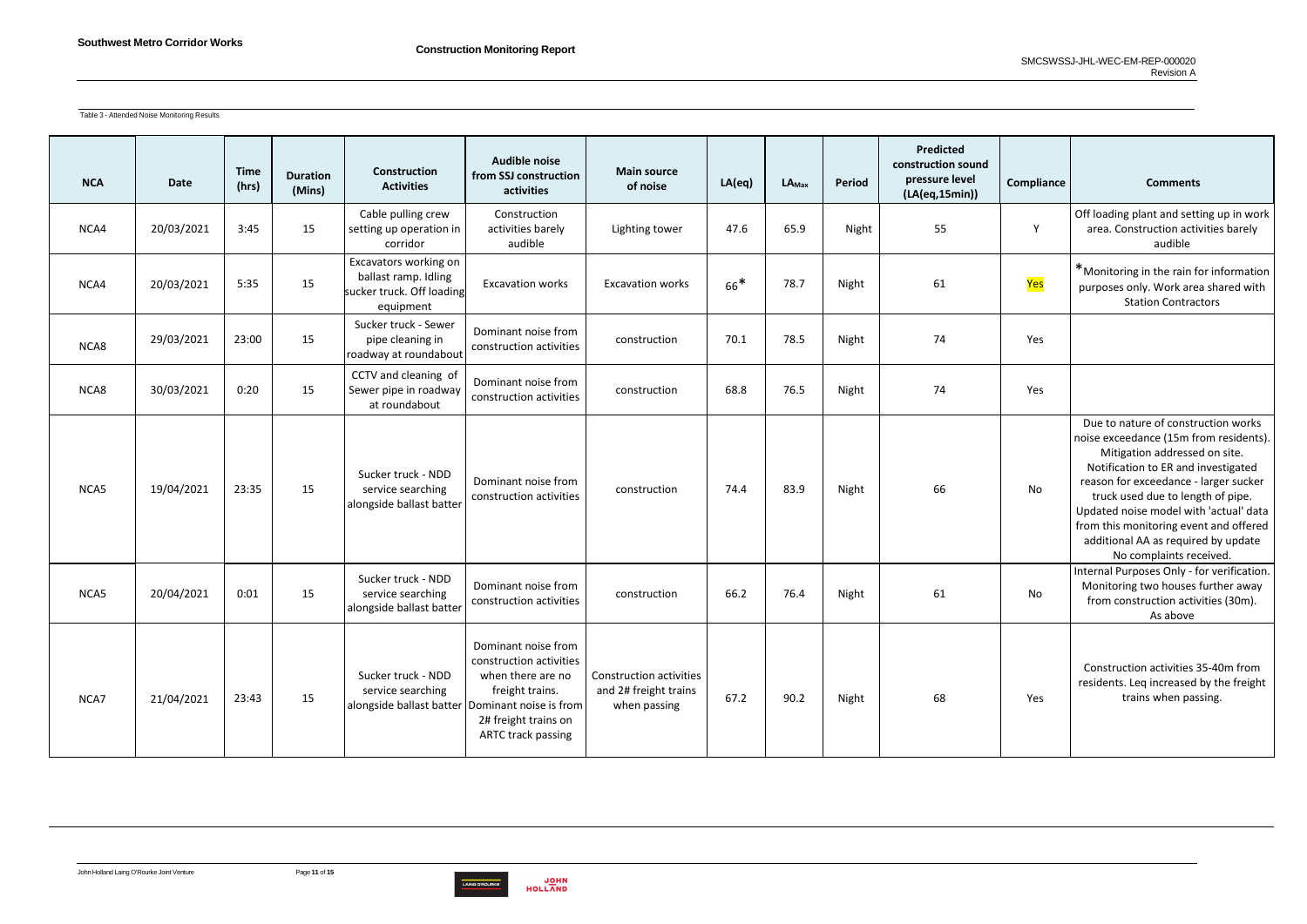

Table 3 - Attended Noise Monitoring Results

| <b>NCA</b> | <b>Date</b> | <b>Time</b><br>(hrs) | <b>Duration</b><br>(Mins) | <b>Construction</b><br><b>Activities</b>                                                   | Audible noise<br>from SSJ construction<br>activities                                                                                 | <b>Main source</b><br>of noise                                   | LA(eq) | $LA_{Max}$ | Period | Predicted<br>construction sound<br>pressure level<br>(LA(eq,15min)) | Compliance | <b>Comments</b>                                                                                                                                                                                                                                                                                                                                                                           |
|------------|-------------|----------------------|---------------------------|--------------------------------------------------------------------------------------------|--------------------------------------------------------------------------------------------------------------------------------------|------------------------------------------------------------------|--------|------------|--------|---------------------------------------------------------------------|------------|-------------------------------------------------------------------------------------------------------------------------------------------------------------------------------------------------------------------------------------------------------------------------------------------------------------------------------------------------------------------------------------------|
| NCA4       | 20/03/2021  | 3:45                 | 15                        | Cable pulling crew<br>setting up operation in<br>corridor                                  | Construction<br>activities barely<br>audible                                                                                         | Lighting tower                                                   | 47.6   | 65.9       | Night  | 55                                                                  | Y          | Off loading plant and setting up in work<br>area. Construction activities barely<br>audible                                                                                                                                                                                                                                                                                               |
| NCA4       | 20/03/2021  | 5:35                 | 15                        | Excavators working on<br>ballast ramp. Idling<br>sucker truck. Off loading<br>equipment    | <b>Excavation works</b>                                                                                                              | <b>Excavation works</b>                                          | $66*$  | 78.7       | Night  | 61                                                                  | Yes        | *Monitoring in the rain for information<br>purposes only. Work area shared with<br><b>Station Contractors</b>                                                                                                                                                                                                                                                                             |
| NCA8       | 29/03/2021  | 23:00                | 15                        | Sucker truck - Sewer<br>pipe cleaning in<br>roadway at roundabout                          | Dominant noise from<br>construction activities                                                                                       | construction                                                     | 70.1   | 78.5       | Night  | 74                                                                  | Yes        |                                                                                                                                                                                                                                                                                                                                                                                           |
| NCA8       | 30/03/2021  | 0:20                 | 15                        | CCTV and cleaning of<br>Sewer pipe in roadway<br>at roundabout                             | Dominant noise from<br>construction activities                                                                                       | construction                                                     | 68.8   | 76.5       | Night  | 74                                                                  | Yes        |                                                                                                                                                                                                                                                                                                                                                                                           |
| NCA5       | 19/04/2021  | 23:35                | 15                        | Sucker truck - NDD<br>service searching<br>alongside ballast batter                        | Dominant noise from<br>construction activities                                                                                       | construction                                                     | 74.4   | 83.9       | Night  | 66                                                                  | No         | Due to nature of construction works<br>noise exceedance (15m from residents).<br>Mitigation addressed on site.<br>Notification to ER and investigated<br>reason for exceedance - larger sucker<br>truck used due to length of pipe.<br>Updated noise model with 'actual' data<br>from this monitoring event and offered<br>additional AA as required by update<br>No complaints received. |
| NCA5       | 20/04/2021  | 0:01                 | 15                        | Sucker truck - NDD<br>service searching<br>alongside ballast batter                        | Dominant noise from<br>construction activities                                                                                       | construction                                                     | 66.2   | 76.4       | Night  | 61                                                                  | No         | Internal Purposes Only - for verification.<br>Monitoring two houses further away<br>from construction activities (30m).<br>As above                                                                                                                                                                                                                                                       |
| NCA7       | 21/04/2021  | 23:43                | 15                        | Sucker truck - NDD<br>service searching<br>alongside ballast batter Dominant noise is from | Dominant noise from<br>construction activities<br>when there are no<br>freight trains.<br>2# freight trains on<br>ARTC track passing | Construction activities<br>and 2# freight trains<br>when passing | 67.2   | 90.2       | Night  | 68                                                                  | Yes        | Construction activities 35-40m from<br>residents. Leq increased by the freight<br>trains when passing.                                                                                                                                                                                                                                                                                    |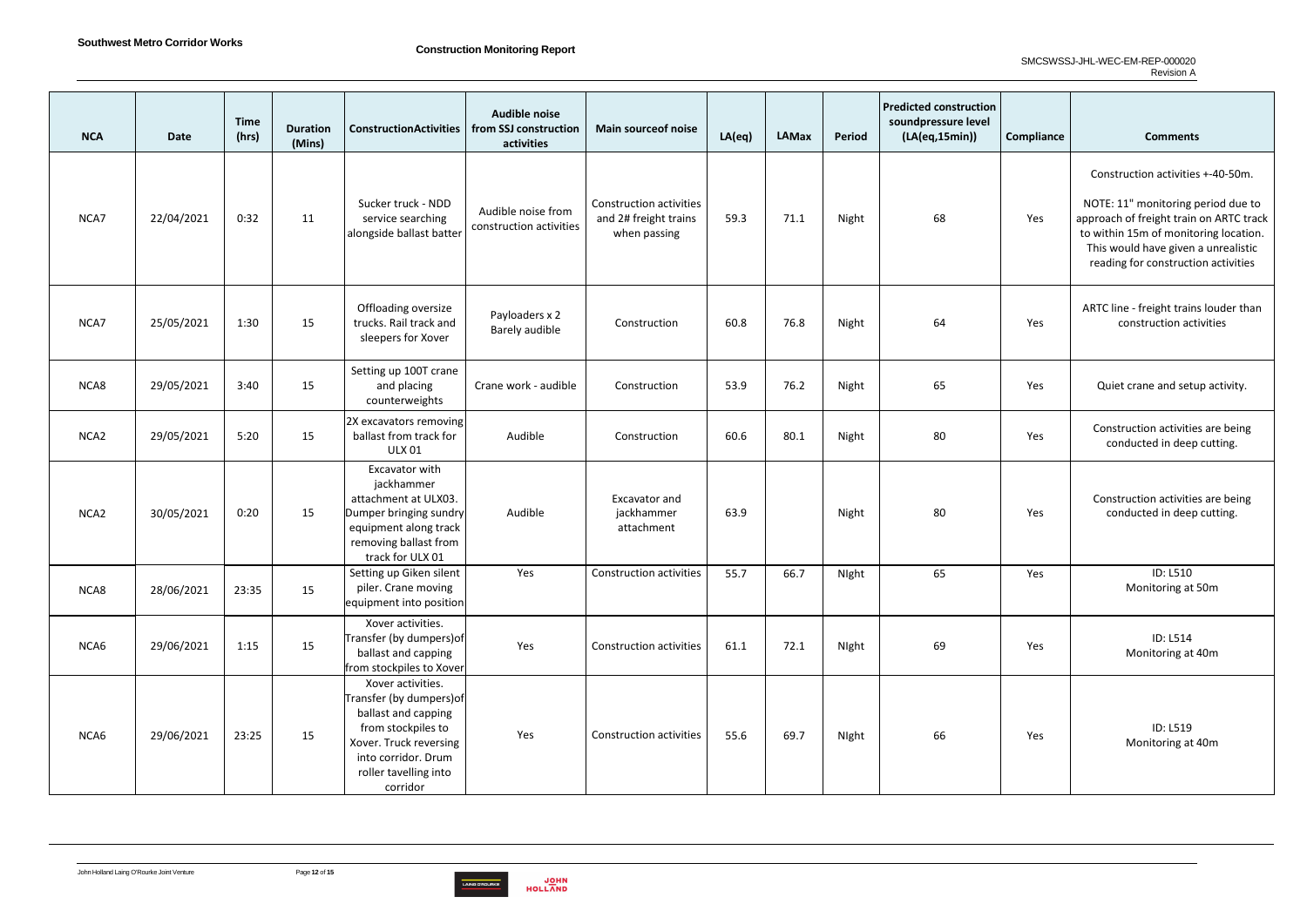

| <b>NCA</b>       | <b>Date</b> | <b>Time</b><br>(hrs) | <b>Duration</b><br>(Mins) | <b>ConstructionActivities</b>                                                                                                                                                    | <b>Audible noise</b><br>from SSJ construction<br>activities | <b>Main sourceof noise</b>                                              | LA(eq) | LAMax | Period | <b>Predicted construction</b><br>soundpressure level<br>(LA(eq,15min)) | Compliance | <b>Comments</b>                                                                                                                                                                                                                           |
|------------------|-------------|----------------------|---------------------------|----------------------------------------------------------------------------------------------------------------------------------------------------------------------------------|-------------------------------------------------------------|-------------------------------------------------------------------------|--------|-------|--------|------------------------------------------------------------------------|------------|-------------------------------------------------------------------------------------------------------------------------------------------------------------------------------------------------------------------------------------------|
| NCA7             | 22/04/2021  | 0:32                 | 11                        | Sucker truck - NDD<br>service searching<br>alongside ballast batter                                                                                                              | Audible noise from<br>construction activities               | <b>Construction activities</b><br>and 2# freight trains<br>when passing | 59.3   | 71.1  | Night  | 68                                                                     | Yes        | Construction activities +-40-50m.<br>NOTE: 11" monitoring period due to<br>approach of freight train on ARTC track<br>to within 15m of monitoring location.<br>This would have given a unrealistic<br>reading for construction activities |
| NCA7             | 25/05/2021  | 1:30                 | 15                        | Offloading oversize<br>trucks. Rail track and<br>sleepers for Xover                                                                                                              | Payloaders x 2<br>Barely audible                            | Construction                                                            | 60.8   | 76.8  | Night  | 64                                                                     | Yes        | ARTC line - freight trains louder than<br>construction activities                                                                                                                                                                         |
| NCA8             | 29/05/2021  | 3:40                 | 15                        | Setting up 100T crane<br>and placing<br>counterweights                                                                                                                           | Crane work - audible                                        | Construction                                                            | 53.9   | 76.2  | Night  | 65                                                                     | Yes        | Quiet crane and setup activity.                                                                                                                                                                                                           |
| NCA <sub>2</sub> | 29/05/2021  | 5:20                 | 15                        | 2X excavators removing<br>ballast from track for<br><b>ULX 01</b>                                                                                                                | Audible                                                     | Construction                                                            | 60.6   | 80.1  | Night  | 80                                                                     | Yes        | Construction activities are being<br>conducted in deep cutting.                                                                                                                                                                           |
| NCA <sub>2</sub> | 30/05/2021  | 0:20                 | 15                        | Excavator with<br>jackhammer<br>attachment at ULX03.<br>Dumper bringing sundry<br>equipment along track<br>removing ballast from<br>track for ULX 01                             | Audible                                                     | Excavator and<br>jackhammer<br>attachment                               | 63.9   |       | Night  | 80                                                                     | Yes        | Construction activities are being<br>conducted in deep cutting.                                                                                                                                                                           |
| NCA8             | 28/06/2021  | 23:35                | 15                        | Setting up Giken silent<br>piler. Crane moving<br>equipment into position                                                                                                        | Yes                                                         | Construction activities                                                 | 55.7   | 66.7  | NIght  | 65                                                                     | Yes        | ID: L510<br>Monitoring at 50m                                                                                                                                                                                                             |
| NCA6             | 29/06/2021  | 1:15                 | 15                        | Xover activities.<br>Transfer (by dumpers) of<br>ballast and capping<br>from stockpiles to Xover                                                                                 | Yes                                                         | Construction activities                                                 | 61.1   | 72.1  | Night  | 69                                                                     | Yes        | <b>ID: L514</b><br>Monitoring at 40m                                                                                                                                                                                                      |
| NCA6             | 29/06/2021  | 23:25                | 15                        | Xover activities.<br>Transfer (by dumpers) of<br>ballast and capping<br>from stockpiles to<br>Xover. Truck reversing<br>into corridor. Drum<br>roller tavelling into<br>corridor | Yes                                                         | <b>Construction activities</b>                                          | 55.6   | 69.7  | Night  | 66                                                                     | Yes        | ID: L519<br>Monitoring at 40m                                                                                                                                                                                                             |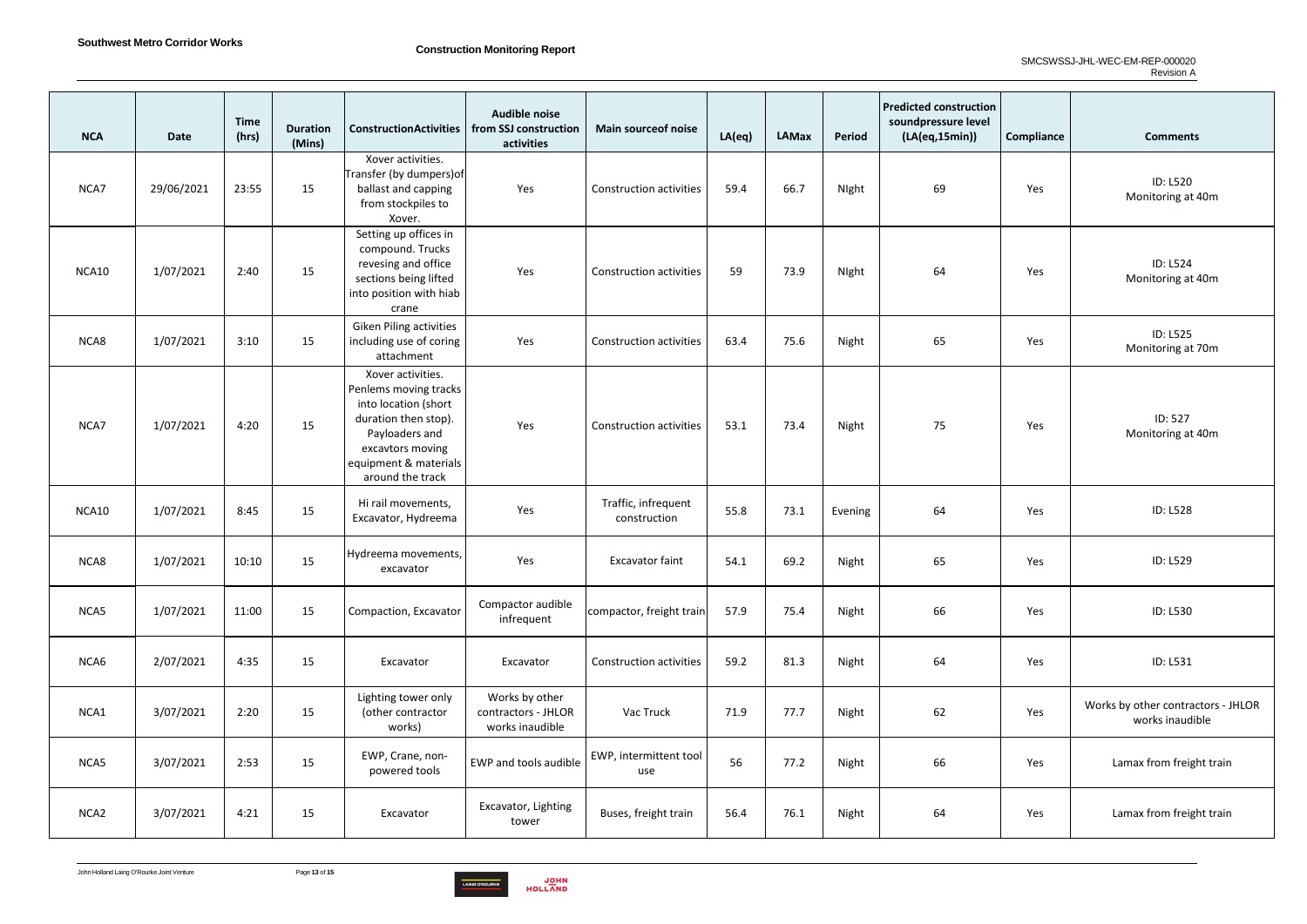

| <b>NCA</b>       | <b>Date</b> | <b>Time</b><br>(hrs) | <b>Duration</b><br>(Mins) | <b>ConstructionActivities</b>                                                                                                                                                 | <b>Audible noise</b><br>from SSJ construction<br>activities | <b>Main source of noise</b>         | LA(eq) | LAMax | Period  | <b>Predicted construction</b><br>soundpressure level<br>(LA(eq,15min)) | Compliance | <b>Comments</b>                                       |
|------------------|-------------|----------------------|---------------------------|-------------------------------------------------------------------------------------------------------------------------------------------------------------------------------|-------------------------------------------------------------|-------------------------------------|--------|-------|---------|------------------------------------------------------------------------|------------|-------------------------------------------------------|
| NCA7             | 29/06/2021  | 23:55                | 15                        | Xover activities.<br>Transfer (by dumpers) of<br>ballast and capping<br>from stockpiles to<br>Xover.                                                                          | Yes                                                         | <b>Construction activities</b>      | 59.4   | 66.7  | Night   | 69                                                                     | Yes        | <b>ID: L520</b><br>Monitoring at 40m                  |
| NCA10            | 1/07/2021   | 2:40                 | 15                        | Setting up offices in<br>compound. Trucks<br>revesing and office<br>sections being lifted<br>into position with hiab<br>crane                                                 | Yes                                                         | <b>Construction activities</b>      | 59     | 73.9  | Night   | 64                                                                     | Yes        | <b>ID: L524</b><br>Monitoring at 40m                  |
| NCA8             | 1/07/2021   | 3:10                 | 15                        | <b>Giken Piling activities</b><br>including use of coring<br>attachment                                                                                                       | Yes                                                         | <b>Construction activities</b>      | 63.4   | 75.6  | Night   | 65                                                                     | Yes        | <b>ID: L525</b><br>Monitoring at 70m                  |
| NCA7             | 1/07/2021   | 4:20                 | 15                        | Xover activities.<br>Penlems moving tracks<br>into location (short<br>duration then stop).<br>Payloaders and<br>excavtors moving<br>equipment & materials<br>around the track | Yes                                                         | <b>Construction activities</b>      | 53.1   | 73.4  | Night   | 75                                                                     | Yes        | ID: 527<br>Monitoring at 40m                          |
| NCA10            | 1/07/2021   | 8:45                 | 15                        | Hi rail movements,<br>Excavator, Hydreema                                                                                                                                     | Yes                                                         | Traffic, infrequent<br>construction | 55.8   | 73.1  | Evening | 64                                                                     | Yes        | <b>ID: L528</b>                                       |
| NCA8             | 1/07/2021   | 10:10                | 15                        | Hydreema movements,<br>excavator                                                                                                                                              | Yes                                                         | <b>Excavator faint</b>              | 54.1   | 69.2  | Night   | 65                                                                     | Yes        | ID: L529                                              |
| NCA5             | 1/07/2021   | 11:00                | 15                        | Compaction, Excavator                                                                                                                                                         | Compactor audible<br>infrequent                             | compactor, freight train            | 57.9   | 75.4  | Night   | 66                                                                     | Yes        | <b>ID: L530</b>                                       |
| NCA6             | 2/07/2021   | 4:35                 | 15                        | Excavator                                                                                                                                                                     | Excavator                                                   | <b>Construction activities</b>      | 59.2   | 81.3  | Night   | 64                                                                     | Yes        | ID: L531                                              |
| NCA1             | 3/07/2021   | 2:20                 | 15                        | Lighting tower only<br>(other contractor<br>works)                                                                                                                            | Works by other<br>contractors - JHLOR<br>works inaudible    | Vac Truck                           | 71.9   | 77.7  | Night   | 62                                                                     | Yes        | Works by other contractors - JHLOR<br>works inaudible |
| NCA5             | 3/07/2021   | 2:53                 | 15                        | EWP, Crane, non-<br>powered tools                                                                                                                                             | EWP and tools audible                                       | EWP, intermittent tool<br>use       | 56     | 77.2  | Night   | 66                                                                     | Yes        | Lamax from freight train                              |
| NCA <sub>2</sub> | 3/07/2021   | 4:21                 | 15                        | Excavator                                                                                                                                                                     | Excavator, Lighting<br>tower                                | Buses, freight train                | 56.4   | 76.1  | Night   | 64                                                                     | Yes        | Lamax from freight train                              |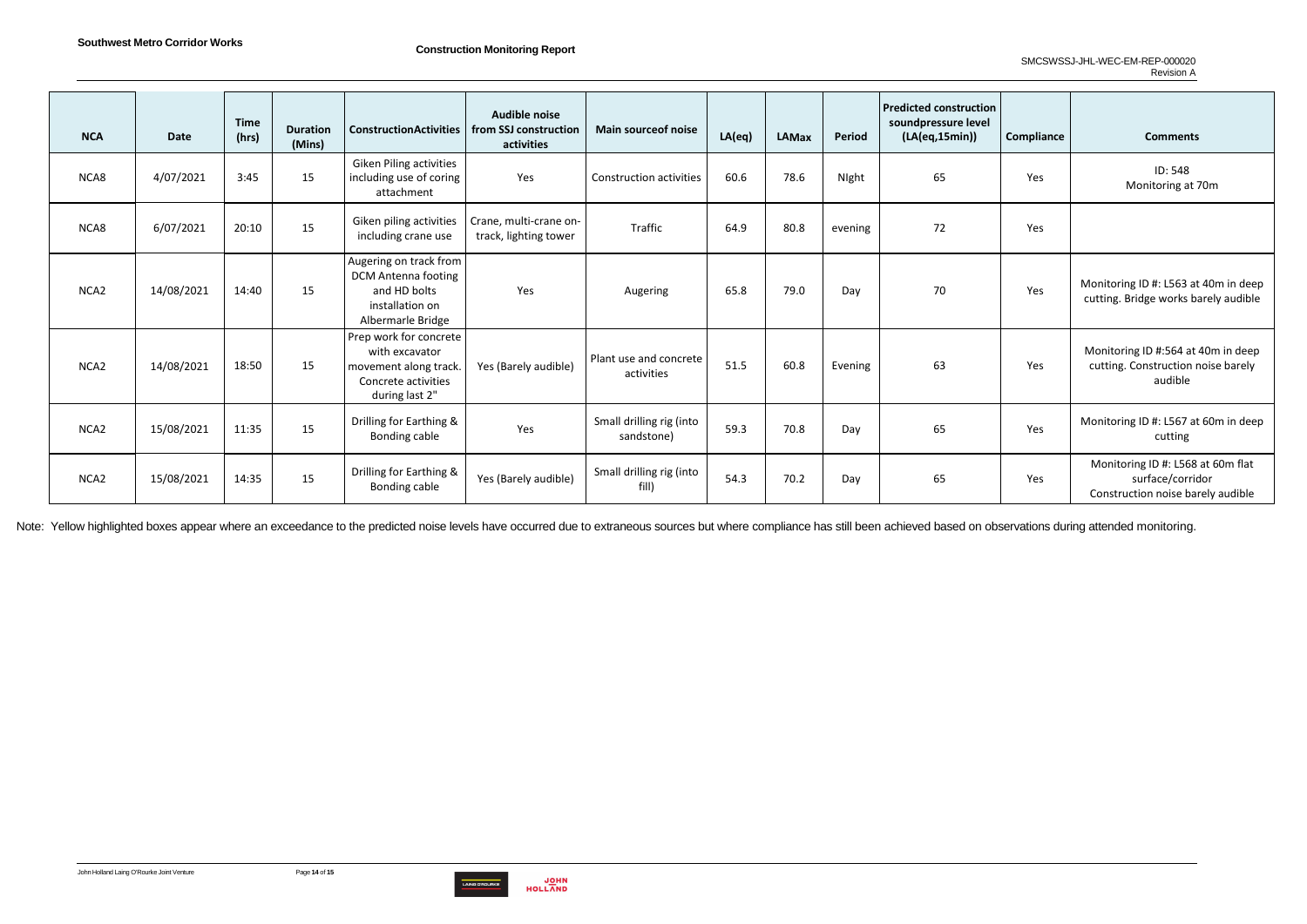

| <b>NCA</b>       | <b>Date</b> | <b>Time</b><br>(hrs) | <b>Duration</b><br>(Mins) | <b>ConstructionActivities</b>                                                                                | Audible noise<br>from SSJ construction<br>activities | <b>Main source of noise</b>            | LA(eq) | <b>LAMax</b> | Period  | <b>Predicted construction</b><br>soundpressure level<br>(LA(eq,15min)) | Compliance | <b>Comments</b>                                                                            |
|------------------|-------------|----------------------|---------------------------|--------------------------------------------------------------------------------------------------------------|------------------------------------------------------|----------------------------------------|--------|--------------|---------|------------------------------------------------------------------------|------------|--------------------------------------------------------------------------------------------|
| NCA8             | 4/07/2021   | 3:45                 | 15                        | <b>Giken Piling activities</b><br>including use of coring<br>attachment                                      | Yes                                                  | <b>Construction activities</b>         | 60.6   | 78.6         | Night   | 65                                                                     | Yes        | ID: 548<br>Monitoring at 70m                                                               |
| NCA8             | 6/07/2021   | 20:10                | 15                        | Giken piling activities<br>including crane use                                                               | Crane, multi-crane on-<br>track, lighting tower      | Traffic                                | 64.9   | 80.8         | evening | 72                                                                     | Yes        |                                                                                            |
| NCA <sub>2</sub> | 14/08/2021  | 14:40                | 15                        | Augering on track from<br><b>DCM Antenna footing</b><br>and HD bolts<br>installation on<br>Albermarle Bridge | Yes                                                  | Augering                               | 65.8   | 79.0         | Day     | 70                                                                     | Yes        | Monitoring ID #: L563 at 40m in deep<br>cutting. Bridge works barely audible               |
| NCA <sub>2</sub> | 14/08/2021  | 18:50                | 15                        | Prep work for concrete<br>with excavator<br>movement along track.<br>Concrete activities<br>during last 2"   | Yes (Barely audible)                                 | Plant use and concrete<br>activities   | 51.5   | 60.8         | Evening | 63                                                                     | Yes        | Monitoring ID #:564 at 40m in deep<br>cutting. Construction noise barely<br>audible        |
| NCA <sub>2</sub> | 15/08/2021  | 11:35                | 15                        | Drilling for Earthing &<br>Bonding cable                                                                     | Yes                                                  | Small drilling rig (into<br>sandstone) | 59.3   | 70.8         | Day     | 65                                                                     | Yes        | Monitoring ID #: L567 at 60m in deep<br>cutting                                            |
| NCA <sub>2</sub> | 15/08/2021  | 14:35                | 15                        | Drilling for Earthing &<br>Bonding cable                                                                     | Yes (Barely audible)                                 | Small drilling rig (into<br>fill)      | 54.3   | 70.2         | Day     | 65                                                                     | Yes        | Monitoring ID #: L568 at 60m flat<br>surface/corridor<br>Construction noise barely audible |

Note: Yellow highlighted boxes appear where an exceedance to the predicted noise levels have occurred due to extraneous sources but where compliance has still been achieved based on observations during attended monitoring.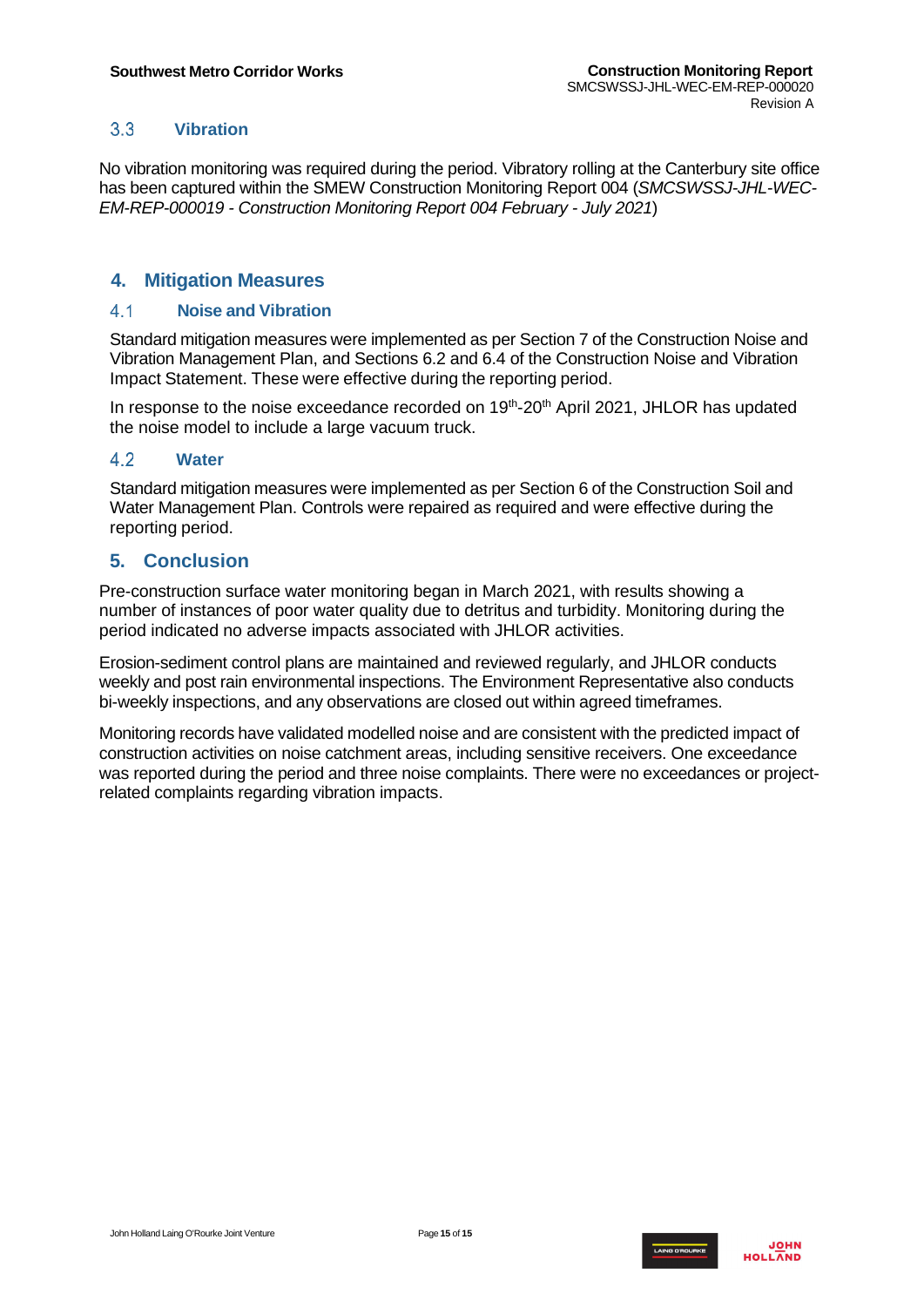#### $3.3$ **Vibration**

<span id="page-14-0"></span>No vibration monitoring was required during the period. Vibratory rolling at the Canterbury site office has been captured within the SMEW Construction Monitoring Report 004 (*SMCSWSSJ-JHL-WEC-EM-REP-000019 - Construction Monitoring Report 004 February - July 2021*)

### <span id="page-14-1"></span>**4. Mitigation Measures**

#### <span id="page-14-2"></span> $4.1$ **Noise and Vibration**

Standard mitigation measures were implemented as per Section 7 of the Construction Noise and Vibration Management Plan, and Sections 6.2 and 6.4 of the Construction Noise and Vibration Impact Statement. These were effective during the reporting period.

In response to the noise exceedance recorded on 19<sup>th</sup>-20<sup>th</sup> April 2021, JHLOR has updated the noise model to include a large vacuum truck.

#### <span id="page-14-3"></span>4.2 **Water**

Standard mitigation measures were implemented as per Section 6 of the Construction Soil and Water Management Plan. Controls were repaired as required and were effective during the reporting period.

### <span id="page-14-4"></span>**5. Conclusion**

Pre-construction surface water monitoring began in March 2021, with results showing a number of instances of poor water quality due to detritus and turbidity. Monitoring during the period indicated no adverse impacts associated with JHLOR activities.

Erosion-sediment control plans are maintained and reviewed regularly, and JHLOR conducts weekly and post rain environmental inspections. The Environment Representative also conducts bi-weekly inspections, and any observations are closed out within agreed timeframes.

Monitoring records have validated modelled noise and are consistent with the predicted impact of construction activities on noise catchment areas, including sensitive receivers. One exceedance was reported during the period and three noise complaints. There were no exceedances or projectrelated complaints regarding vibration impacts.